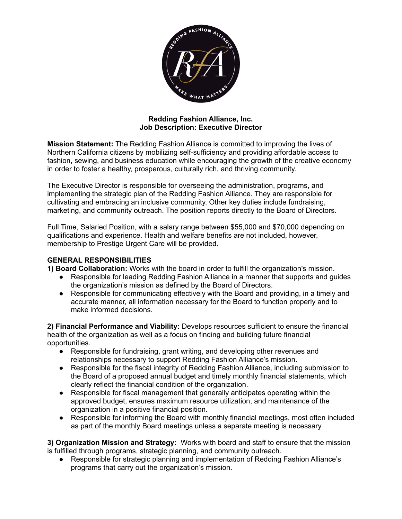

## **Redding Fashion Alliance, Inc. Job Description: Executive Director**

**Mission Statement:** The Redding Fashion Alliance is committed to improving the lives of Northern California citizens by mobilizing self-sufficiency and providing affordable access to fashion, sewing, and business education while encouraging the growth of the creative economy in order to foster a healthy, prosperous, culturally rich, and thriving community.

The Executive Director is responsible for overseeing the administration, programs, and implementing the strategic plan of the Redding Fashion Alliance. They are responsible for cultivating and embracing an inclusive community. Other key duties include fundraising, marketing, and community outreach. The position reports directly to the Board of Directors.

Full Time, Salaried Position, with a salary range between \$55,000 and \$70,000 depending on qualifications and experience. Health and welfare benefits are not included, however, membership to Prestige Urgent Care will be provided.

## **GENERAL RESPONSIBILITIES**

**1) Board Collaboration:** Works with the board in order to fulfill the organization's mission.

- Responsible for leading Redding Fashion Alliance in a manner that supports and guides the organization's mission as defined by the Board of Directors.
- Responsible for communicating effectively with the Board and providing, in a timely and accurate manner, all information necessary for the Board to function properly and to make informed decisions.

**2) Financial Performance and Viability:** Develops resources sufficient to ensure the financial health of the organization as well as a focus on finding and building future financial opportunities.

- Responsible for fundraising, grant writing, and developing other revenues and relationships necessary to support Redding Fashion Alliance's mission.
- Responsible for the fiscal integrity of Redding Fashion Alliance, including submission to the Board of a proposed annual budget and timely monthly financial statements, which clearly reflect the financial condition of the organization.
- Responsible for fiscal management that generally anticipates operating within the approved budget, ensures maximum resource utilization, and maintenance of the organization in a positive financial position.
- Responsible for informing the Board with monthly financial meetings, most often included as part of the monthly Board meetings unless a separate meeting is necessary.

**3) Organization Mission and Strategy:** Works with board and staff to ensure that the mission is fulfilled through programs, strategic planning, and community outreach.

● Responsible for strategic planning and implementation of Redding Fashion Alliance's programs that carry out the organization's mission.